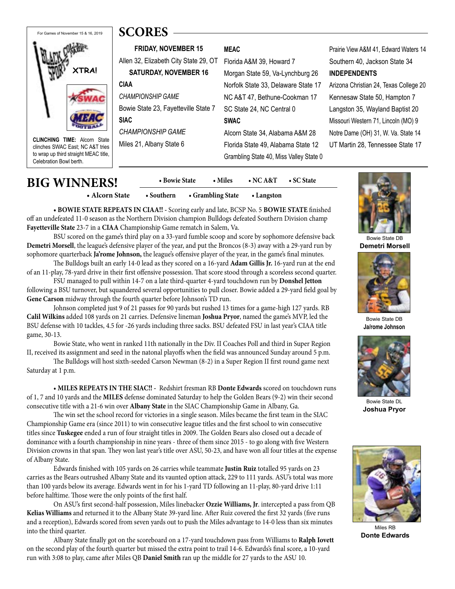# **XTRA!** For Games of November 15 & 16, 2019

**CLINCHING TIME:** Alcorn State clinches SWAC East; NC A&T tries to wrap up third straight MEAC title, Celebration Bowl berth.

**FRIDAY, NOVEMBER 15** Allen 32, Elizabeth City State 29, OT **SATURDAY, NOVEMBER 16 CIAA** *CHAMPIONSHIP GAME* Bowie State 23, Fayetteville State 7 **SIAC** *CHAMPIONSHIP GAME* Miles 21, Albany State 6 **MEAC** Florida A&M 39, Howard 7 Morgan State 59, Va-Lynchburg 26 Norfolk State 33, Delaware State 17 NC A&T 47, Bethune-Cookman 17 SC State 24, NC Central 0 **SWAC** Alcorn State 34, Alabama A&M 28 Florida State 49, Alabama State 12 Grambling State 40, Miss Valley State 0

Prairie View A&M 41, Edward Waters 14 Southern 40, Jackson State 34 **INDEPENDENTS** Arizona Christian 24, Texas College 20 Kennesaw State 50, Hampton 7 Langston 35, Wayland Baptist 20 Missouri Western 71, Lincoln (MO) 9 Notre Dame (OH) 31, W. Va. State 14

UT Martin 28, Tennessee State 17

Bowie State DB **Demetri Morsell**



Bowie State DB **Ja/rome Johnson**



Bowie State DL **Joshua Pryor**



Miles RB **Donte Edwards**

## **BIG WINNERS! • Bowie State • Miles • NC A&T • SC State**

 **• Alcorn State • Southern • Grambling State • Langston** 

**• BOWIE STATE REPEATS IN CIAA!! -** Scoring early and late, BCSP No. 5 **BOWIE STATE** finished off an undefeated 11-0 season as the Northern Division champion Bulldogs defeated Southern Division champ **Fayetteville State** 23-7 in a **CIAA** Championship Game rematch in Salem, Va.

**SCORES**

BSU scored on the game's third play on a 33-yard fumble scoop and score by sophomore defensive back **Demetri Morsell**, the league's defensive player of the year, and put the Broncos (8-3) away with a 29-yard run by sophomore quarterback **Ja'rome Johnson**, the league's offensive player of the year, in the game's final minutes.

The Bulldogs built an early 14-0 lead as they scored on a 16-yard **Adam Gillis Jr.** 16-yard run at the end of an 11-play, 78-yard drive in their first offensive possession. That score stood through a scoreless second quarter.

FSU managed to pull within 14-7 on a late third-quarter 4-yard touchdown run by **Donshel Jetton**  following a BSU turnover, but squandered several opportunities to pull closer. Bowie added a 29-yard field goal by **Gene Carson** midway through the fourth quarter before Johnson's TD run.

Johnson completed just 9 of 21 passes for 90 yards but rushed 13 times for a game-high 127 yards. RB **Calil Wilkins** added 108 yards on 21 carries. Defensive lineman **Joshua Pryor**, named the game's MVP, led the BSU defense with 10 tackles, 4.5 for -26 yards including three sacks. BSU defeated FSU in last year's CIAA title game, 30-13.

Bowie State, who went in ranked 11th nationally in the Div. II Coaches Poll and third in Super Region II, received its assignment and seed in the natonal playoffs when the field was announced Sunday around 5 p.m.

The Bulldogs will host sixth-seeded Carson Newman (8-2) in a Super Region II first round game next Saturday at 1 p.m.

 • **MILES REPEATS IN THE SIAC!! -** Redshirt fresman RB **Donte Edwards** scored on touchdown runs of 1, 7 and 10 yards and the **MILES** defense dominated Saturday to help the Golden Bears (9-2) win their second consecutive title with a 21-6 win over **Albany State** in the SIAC Championship Game in Albany, Ga.

The win set the school record for victories in a single season. Miles became the first team in the SIAC Championship Game era (since 2011) to win consecutive league titles and the first school to win consecutive titles since **Tuskegee** ended a run of four straight titles in 2009. The Golden Bears also closed out a decade of dominance with a fourth championship in nine years - three of them since 2015 - to go along with five Western Division crowns in that span. They won last year's title over ASU, 50-23, and have won all four titles at the expense of Albany State.

Edwards finished with 105 yards on 26 carries while teammate **Justin Ruiz** totalled 95 yards on 23 carries as the Bears outrushed Albany State and its vaunted option attack, 229 to 111 yards. ASU's total was more than 100 yards below its average. Edwards went in for his 1-yard TD following an 11-play, 80-yard drive 1:11 before halftime. Those were the only points of the first half.

On ASU's first second-half possession, Miles linebacker **Ozzie Williams, Jr**. intercepted a pass from QB **Kelias Williams** and returned it to the Albany State 39-yard line. After Ruiz covered the first 32 yards (five runs and a reception), Edwards scored from seven yards out to push the Miles advantage to 14-0 less than six minutes into the third quarter.

Albany State finally got on the scoreboard on a 17-yard touchdown pass from Williams to **Ralph Iovett**  on the second play of the fourth quarter but missed the extra point to trail 14-6. Edwards's final score, a 10-yard run with 3:08 to play, came after Miles QB **Daniel Smith** ran up the middle for 27 yards to the ASU 10.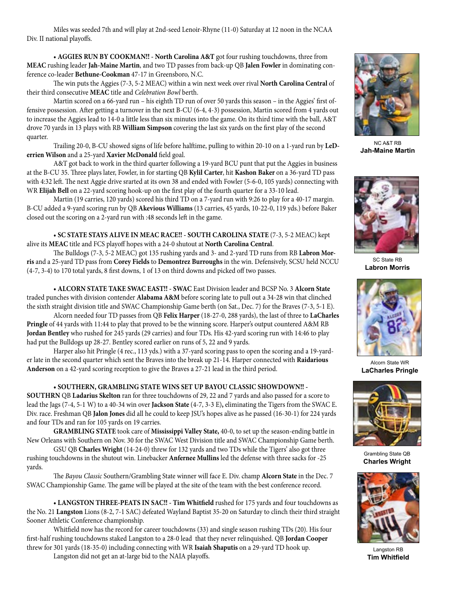Miles was seeded 7th and will play at 2nd-seed Lenoir-Rhyne (11-0) Saturday at 12 noon in the NCAA Div. II national playoffs.

 • **AGGIES RUN BY COOKMAN!! - North Carolina A&T** got four rushing touchdowns, three from **MEAC** rushing leader **Jah-Maine Martin**, and two TD passes from back-up QB **Jalen Fowler** in dominating conference co-leader **Bethune-Cookman** 47-17 in Greensboro, N.C.

The win puts the Aggies (7-3, 5-2 MEAC) within a win next week over rival **North Carolina Central** of their third consecutive **MEAC** title and *Celebration Bowl* berth.

Martin scored on a 66-yard run – his eighth TD run of over 50 yards this season – in the Aggies' first offensive possession. After getting a turnover in the next B-CU (6-4, 4-3) possession, Martin scored from 4 yards out to increase the Aggies lead to 14-0 a little less than six minutes into the game. On its third time with the ball, A&T drove 70 yards in 13 plays with RB **William Simpson** covering the last six yards on the first play of the second quarter.

Trailing 20-0, B-CU showed signs of life before halftime, pulling to within 20-10 on a 1-yard run by **LeDerrien Wilson** and a 25-yard **Xavier McDonald** field goal.

A&T got back to work in the third quarter following a 19-yard BCU punt that put the Aggies in business at the B-CU 35. Three plays later, Fowler, in for starting QB **Kylil Carter**, hit **Kashon Baker** on a 36-yard TD pass with 4:32 left. The next Aggie drive srarted at its own 38 and ended with Fowler (5-6-0, 105 yards) connecting with WR **Elijah Bell** on a 22-yard scoring hook-up on the first play of the fourth quarter for a 33-10 lead.

Martin (19 carries, 120 yards) scored his third TD on a 7-yard run with 9:26 to play for a 40-17 margin. B-CU added a 9-yard scoring run by QB **Akevious Williams** (13 carries, 45 yards, 10-22-0, 119 yds.) before Baker closed out the scoring on a 2-yard run with :48 seconds left in the game.

 • **SC STATE STAYS ALIVE IN MEAC RACE!! - SOUTH CAROLINA STATE** (7-3, 5-2 MEAC) kept alive its **MEAC** title and FCS playoff hopes with a 24-0 shutout at **North Carolina Central**.

The Bulldogs (7-3, 5-2 MEAC) got 135 rushing yards and 3- and 2-yard TD runs from RB **Labron Morris** and a 25-yard TD pass from **Corey Fields** to **Demontrez Burroughs** in the win. Defensively, SCSU held NCCU (4-7, 3-4) to 170 total yards, 8 first downs, 1 of 13 on third downs and picked off two passes.

**• ALCORN STATE TAKE SWAC EAST!! - SWAC** East Division leader and BCSP No. 3 **Alcorn State**  traded punches with division contender **Alabama A&M** before scoring late to pull out a 34-28 win that clinched the sixth straight division title and SWAC Championship Game berth (on Sat., Dec. 7) for the Braves (7-3, 5-1 E).

Alcorn needed four TD passes from QB **Felix Harper** (18-27-0, 288 yards), the last of three to **LaCharles Pringle** of 44 yards with 11:44 to play that proved to be the winning score. Harper's output countered A&M RB **Jordan Bentley** who rushed for 245 yards (29 carries) and four TDs. His 42-yard scoring run with 14:46 to play had put the Bulldogs up 28-27. Bentley scored earlier on runs of 5, 22 and 9 yards.

Harper also hit Pringle (4 rec., 113 yds.) with a 37-yard scoring pass to open the scoring and a 19-yarder late in the second quarter which sent the Braves into the break up 21-14. Harper connected with **Raidarious Anderson** on a 42-yard scoring reception to give the Braves a 27-21 lead in the third period.

#### **• SOUTHERN, GRAMBLING STATE WINS SET UP BAYOU CLASSIC SHOWDOWN!! -**

**SOUTHRN** QB **Ladarius Skelton** ran for three touchdowns of 29, 22 and 7 yards and also passed for a score to lead the Jags (7-4, 5-1 W) to a 40-34 win over **Jackson State** (4-7, 3-3 E)**,** eliminating the Tigers from the SWAC E. Div. race. Freshman QB **Jalon Jones** did all he could to keep JSU's hopes alive as he passed (16-30-1) for 224 yards and four TDs and ran for 105 yards on 19 carries.

**GRAMBLING STATE** took care of **Mississippi Valley State,** 40-0, to set up the season-ending battle in New Orleans with Southern on Nov. 30 for the SWAC West Division title and SWAC Championship Game berth.

GSU QB **Charles Wright** (14-24-0) threw for 132 yards and two TDs while the Tigers' also got three rushing touchdowns in the shutout win. Linebacker **Anfernee Mullins** led the defense with three sacks for -25 yards.

The *Bayou Classic* Southern/Grambling State winner will face E. Div. champ **Alcorn State** in the Dec. 7 SWAC Championship Game. The game will be played at the site of the team with the best conference record.

**• LANGSTON THREE-PEATS IN SAC!! - Tim Whitfield** rushed for 175 yards and four touchdowns as the No. 21 **Langston** Lions (8-2, 7-1 SAC) defeated Wayland Baptist 35-20 on Saturday to clinch their third straight Sooner Athletic Conference championship.

Whitfield now has the record for career touchdowns (33) and single season rushing TDs (20). His four first-half rushing touchdowns staked Langston to a 28-0 lead that they never relinquished. QB **Jordan Cooper**  threw for 301 yards (18-35-0) including connecting with WR **Isaiah Shaputis** on a 29-yard TD hook up.

Langston did not get an at-large bid to the NAIA playoffs.



NC A&T RB **Jah-Maine Martin**



SC State RB **Labron Morris**



Alcorn State WR **LaCharles Pringle**



Grambling State QB **Charles Wright**



Langston RB **Tim Whitfield**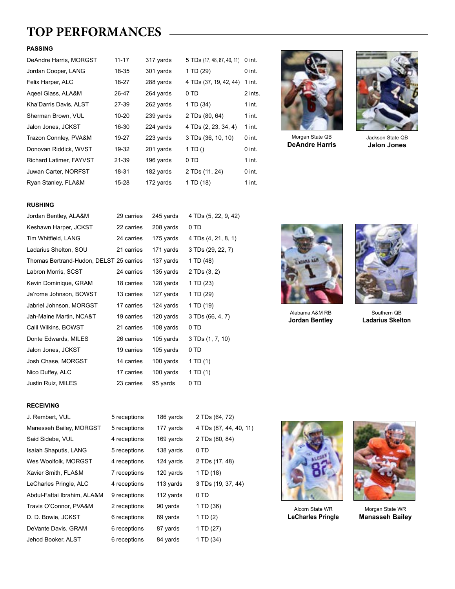## **TOP PERFORMANCES**

#### **PASSING**

| DeAndre Harris, MORGST  | $11 - 17$ | 317 yards | 5 TDs (17, 48, 87, 40, 11) | $0$ int. |
|-------------------------|-----------|-----------|----------------------------|----------|
| Jordan Cooper, LANG     | 18-35     | 301 yards | 1 TD (29)                  | $0$ int. |
| Felix Harper, ALC       | 18-27     | 288 yards | 4 TDs (37, 19, 42, 44)     | 1 int.   |
| Ageel Glass, ALA&M      | 26-47     | 264 yards | 0 TD                       | 2 ints.  |
| Kha'Darris Davis, ALST  | 27-39     | 262 yards | 1 TD (34)                  | $1$ int. |
| Sherman Brown, VUL      | $10 - 20$ | 239 yards | 2 TDs (80, 64)             | $1$ int. |
| Jalon Jones, JCKST      | 16-30     | 224 yards | 4 TDs (2, 23, 34, 4)       | $1$ int. |
| Trazon Connley, PVA&M   | 19-27     | 223 yards | 3 TDs (36, 10, 10)         | $0$ int. |
| Donovan Riddick, WVST   | 19-32     | 201 yards | 1 TD()                     | 0 int.   |
| Richard Latimer, FAYVST | 21-39     | 196 vards | 0 TD                       | 1 int.   |
| Juwan Carter, NORFST    | 18-31     | 182 yards | 2 TDs (11, 24)             | $0$ int. |
| Ryan Stanley, FLA&M     | 15-28     | 172 yards | 1 TD (18)                  | $1$ int. |



Morgan State QB **DeAndre Harris**



Jackson State QB **Jalon Jones**

#### **RUSHING**

| Jordan Bentley, ALA&M                   | 29 carries | 245 yards | 4 TDs (5, 22, 9, 42) |
|-----------------------------------------|------------|-----------|----------------------|
| Keshawn Harper, JCKST                   | 22 carries | 208 yards | 0 TD                 |
| Tim Whitfield, LANG                     | 24 carries | 175 yards | 4 TDs (4, 21, 8, 1)  |
| Ladarius Shelton, SOU                   | 21 carries | 171 yards | 3 TDs (29, 22, 7)    |
| Thomas Bertrand-Hudon, DELST 25 carries |            | 137 yards | 1 TD (48)            |
| Labron Morris, SCST                     | 24 carries | 135 yards | 2 TDs (3, 2)         |
| Kevin Dominique, GRAM                   | 18 carries | 128 yards | 1 TD (23)            |
| Ja'rome Johnson, BOWST                  | 13 carries | 127 yards | 1 TD (29)            |
| Jabriel Johnson, MORGST                 | 17 carries | 124 yards | 1 TD (19)            |
| Jah-Maine Martin, NCA&T                 | 19 carries | 120 yards | 3 TDs (66, 4, 7)     |
| Calil Wilkins, BOWST                    | 21 carries | 108 yards | 0 TD                 |
| Donte Edwards, MILES                    | 26 carries | 105 yards | 3 TDs (1, 7, 10)     |
| Jalon Jones, JCKST                      | 19 carries | 105 yards | 0 TD                 |
| Josh Chase, MORGST                      | 14 carries | 100 yards | 1 TD (1)             |
| Nico Duffey, ALC                        | 17 carries | 100 yards | 1 TD $(1)$           |
| Justin Ruiz, MILES                      | 23 carries | 95 yards  | 0 TD                 |
|                                         |            |           |                      |



Alabama A&M RB **Jordan Bentley**



Southern QB **Ladarius Skelton**

#### **RECEIVING**

| J. Rembert, VUL             | 5 receptions | 186 yards | 2 TDs (64, 72)         |
|-----------------------------|--------------|-----------|------------------------|
| Manesseh Bailey, MORGST     | 5 receptions | 177 yards | 4 TDs (87, 44, 40, 11) |
| Said Sidebe, VUL            | 4 receptions | 169 yards | 2 TDs (80, 84)         |
| Isaiah Shaputis, LANG       | 5 receptions | 138 yards | 0 TD                   |
| Wes Woolfolk, MORGST        | 4 receptions | 124 yards | 2 TDs (17, 48)         |
| Xavier Smith, FLA&M         | 7 receptions | 120 yards | 1 TD (18)              |
| LeCharles Pringle, ALC      | 4 receptions | 113 yards | 3 TDs (19, 37, 44)     |
| Abdul-Fattai Ibrahim, ALA&M | 9 receptions | 112 yards | 0 TD                   |
| Travis O'Connor, PVA&M      | 2 receptions | 90 yards  | 1 TD (36)              |
| D. D. Bowie, JCKST          | 6 receptions | 89 yards  | 1 TD (2)               |
| DeVante Davis, GRAM         | 6 receptions | 87 yards  | 1 TD (27)              |
| Jehod Booker, ALST          | 6 receptions | 84 yards  | 1 TD (34)              |



Alcorn State WR **LeCharles Pringle**



Morgan State WR **Manasseh Bailey**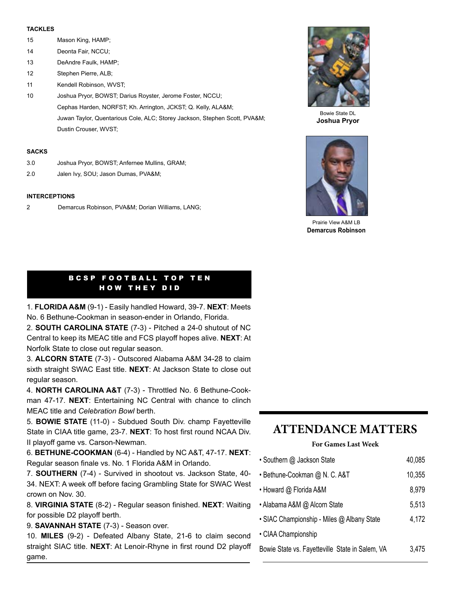#### **TACKLES**

- 15 Mason King, HAMP;
- 14 Deonta Fair, NCCU;
- 13 DeAndre Faulk, HAMP;
- 12 Stephen Pierre, ALB;
- 11 Kendell Robinson, WVST:
- 10 Joshua Pryor, BOWST; Darius Royster, Jerome Foster, NCCU; Cephas Harden, NORFST; Kh. Arrington, JCKST; Q. Kelly, ALA&M; Juwan Taylor, Quentarious Cole, ALC; Storey Jackson, Stephen Scott, PVA&M; Dustin Crouser, WVST;

#### **SACKS**

- 3.0 Joshua Pryor, BOWST; Anfernee Mullins, GRAM;
- 2.0 Jalen Ivy, SOU; Jason Dumas, PVA&M;

#### **INTERCEPTIONS**

2 Demarcus Robinson, PVA&M; Dorian Williams, LANG;



Bowie State DL **Joshua Pryor**



Prairie View A&M LB **Demarcus Robinson**

#### BCSP FOOTBALL TOP TEN HOW THEY DID

1. **FLORIDA A&M** (9-1) - Easily handled Howard, 39-7. **NEXT**: Meets No. 6 Bethune-Cookman in season-ender in Orlando, Florida.

2. **SOUTH CAROLINA STATE** (7-3) - Pitched a 24-0 shutout of NC Central to keep its MEAC title and FCS playoff hopes alive. **NEXT**: At Norfolk State to close out regular season.

3. **ALCORN STATE** (7-3) - Outscored Alabama A&M 34-28 to claim sixth straight SWAC East title. **NEXT**: At Jackson State to close out regular season.

4. **NORTH CAROLINA A&T** (7-3) - Throttled No. 6 Bethune-Cookman 47-17. **NEXT**: Entertaining NC Central with chance to clinch MEAC title and *Celebration Bowl* berth.

5. **BOWIE STATE** (11-0) - Subdued South Div. champ Fayetteville State in CIAA title game, 23-7. **NEXT**: To host first round NCAA Div. II playoff game vs. Carson-Newman.

6. **BETHUNE-COOKMAN** (6-4) - Handled by NC A&T, 47-17. **NEXT**: Regular season finale vs. No. 1 Florida A&M in Orlando.

7. **SOUTHERN** (7-4) - Survived in shootout vs. Jackson State, 40- 34. NEXT: A week off before facing Grambling State for SWAC West crown on Nov. 30.

8. **VIRGINIA STATE** (8-2) - Regular season finished. **NEXT**: Waiting for possible D2 playoff berth.

9. **SAVANNAH STATE** (7-3) - Season over.

10. **MILES** (9-2) - Defeated Albany State, 21-6 to claim second straight SIAC title. **NEXT**: At Lenoir-Rhyne in first round D2 playoff game.

## **ATTENDANCE MATTERS**

#### **For Games Last Week**

| • Southern @ Jackson State                      | 40,085 |
|-------------------------------------------------|--------|
| • Bethune-Cookman @ N. C. A&T                   | 10,355 |
| • Howard @ Florida A&M                          | 8,979  |
| • Alabama A&M @ Alcorn State                    | 5,513  |
| • SIAC Championship - Miles @ Albany State      | 4,172  |
| • CIAA Championship                             |        |
| Bowie State vs. Fayetteville State in Salem, VA | 3,475  |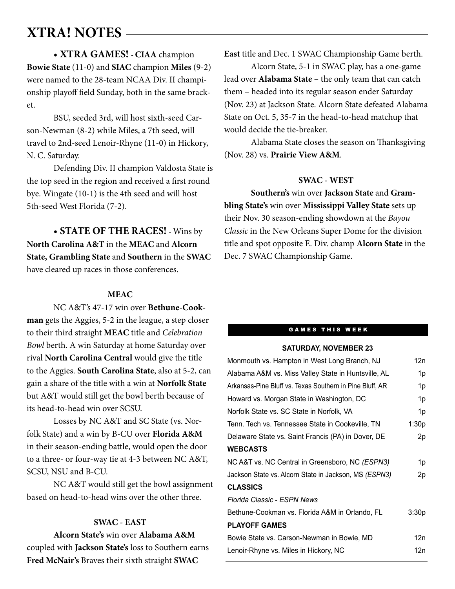## **XTRA! NOTES**

• **XTRA GAMES! - CIAA** champion **Bowie State** (11-0) and **SIAC** champion **Miles** (9-2) were named to the 28-team NCAA Div. II championship playoff field Sunday, both in the same bracket.

BSU, seeded 3rd, will host sixth-seed Carson-Newman (8-2) while Miles, a 7th seed, will travel to 2nd-seed Lenoir-Rhyne (11-0) in Hickory, N. C. Saturday.

Defending Div. II champion Valdosta State is the top seed in the region and received a first round bye. Wingate (10-1) is the 4th seed and will host 5th-seed West Florida (7-2).

• **STATE OF THE RACES! -** Wins by **North Carolina A&T** in the **MEAC** and **Alcorn State, Grambling State** and **Southern** in the **SWAC** have cleared up races in those conferences.

#### **MEAC**

NC A&T's 47-17 win over **Bethune-Cookman** gets the Aggies, 5-2 in the league, a step closer to their third straight **MEAC** title and *Celebration Bowl* berth. A win Saturday at home Saturday over rival **North Carolina Central** would give the title to the Aggies. **South Carolina State**, also at 5-2, can gain a share of the title with a win at **Norfolk State** but A&T would still get the bowl berth because of its head-to-head win over SCSU.

Losses by NC A&T and SC State (vs. Norfolk State) and a win by B-CU over **Florida A&M**  in their season-ending battle, would open the door to a three- or four-way tie at 4-3 between NC A&T, SCSU, NSU and B-CU.

NC A&T would still get the bowl assignment based on head-to-head wins over the other three.

#### **SWAC - EAST**

**Alcorn State's** win over **Alabama A&M**  coupled with **Jackson State's** loss to Southern earns **Fred McNair's** Braves their sixth straight **SWAC** 

**East** title and Dec. 1 SWAC Championship Game berth.

Alcorn State, 5-1 in SWAC play, has a one-game lead over **Alabama State** – the only team that can catch them – headed into its regular season ender Saturday (Nov. 23) at Jackson State. Alcorn State defeated Alabama State on Oct. 5, 35-7 in the head-to-head matchup that would decide the tie-breaker.

Alabama State closes the season on Thanksgiving (Nov. 28) vs. **Prairie View A&M**.

#### **SWAC - WEST**

**Southern's** win over **Jackson State** and **Grambling State's** win over **Mississippi Valley State** sets up their Nov. 30 season-ending showdown at the *Bayou Classic* in the New Orleans Super Dome for the division title and spot opposite E. Div. champ **Alcorn State** in the Dec. 7 SWAC Championship Game.

#### **GAMES THIS WEEK**

#### **SATURDAY, NOVEMBER 23**

| Monmouth vs. Hampton in West Long Branch, NJ             | 12n   |
|----------------------------------------------------------|-------|
| Alabama A&M vs. Miss Valley State in Huntsville, AL      | 1p    |
| Arkansas-Pine Bluff vs. Texas Southern in Pine Bluff, AR | 1p    |
| Howard vs. Morgan State in Washington, DC                | 1p    |
| Norfolk State vs. SC State in Norfolk, VA                | 1p    |
| Tenn. Tech vs. Tennessee State in Cookeville, TN         | 1:30p |
| Delaware State vs. Saint Francis (PA) in Dover, DE       | 2p    |
| <b>WEBCASTS</b>                                          |       |
| NC A&T vs. NC Central in Greensboro, NC (ESPN3)          | 1p    |
| Jackson State vs. Alcorn State in Jackson, MS (ESPN3)    | 2p    |
| <b>CLASSICS</b>                                          |       |
| Florida Classic - ESPN News                              |       |
| Bethune-Cookman vs. Florida A&M in Orlando, FL           | 3:30p |
| <b>PLAYOFF GAMES</b>                                     |       |
| Bowie State vs. Carson-Newman in Bowie, MD               | 12n   |
| Lenoir-Rhyne vs. Miles in Hickory, NC                    | 12n   |